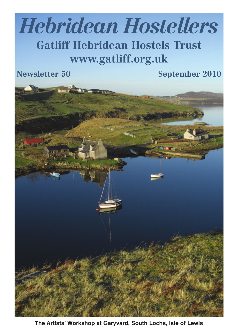# *Hebridean Hostellers*

# **Gatliff Hebridean Hostels Trust www.gatliff.org.uk**

**Newsletter 50 September 2010**



**The Artists' Workshop at Garyvard, South Lochs, Isle of Lewis**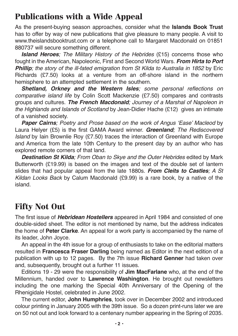#### **Publications with a Wide Appeal**

As the present-buying season approaches, consider what the **Islands Book Trust** has to offer by way of new publications that give pleasure to many people. A visit to www.theislandsbooktrust.com or a telephone call to Margaret Macdonald on 01851 880737 will secure something different.

*Island Heroes; The Military History of the Hebrides* (£15) concerns those who fought in theAmerican, Napoleonic, First and Second World Wars. *From Hirta to Port Phillip; the story of the ill-fated emigration from St Kilda to Australia in 1852* by Eric Richards (£7.50) looks at a venture from an off-shore island in the northern hemisphere to an attempted settlement in the southern.

*Shetland, Orkney and the Western Isles; some personal reflections on comparative island life* by Colin Scott Mackenzie (£7.50) compares and contrasts groups and cultures. *The French Macdonald; Journey of a Marshal of Napoleon in the Highlands and Islands of Scotland* by Jean-Didier Hache (£12) gives an intimate of a vanished society.

*Paper Cairns; Poetry and Prose based on the work of Angus 'Ease' Macleod* by Laura Helyer (£5) is the first GAMA Award winner. *Greenland; The Rediscovered Island* by Iain Brownlie Roy (£7.50) traces the interaction of Greenland with Europe and America from the late 10th Century to the present day by an author who has explored remote corners of that land.

*Destination St Kilda; From Oban to Skye and the Outer Hebrides* edited by Mark Butterworth (£19.99) is based on the images and text of the double set of lantern slides that had popular appeal from the late 1880s. *From Cleits to Castles; A St Kildan Looks Back* by Calum Macdonald (£9.99) is a rare book, by a native of the island.

# **Fifty Not Out**

The first issue of *Hebridean Hostellers* appeared in April 1984 and consisted of one double-sided sheet. The editor is not mentioned by name, but the address indicates the home of **Peter Clarke**. An appeal for a work party is accompanied by the name of its leader, John Joyce.

An appeal in the 4th issue for a group of enthusiasts to take on the editorial matters resulted in **Francesca Fraser Darling** being named as Editor in the next edition of a publication with up to 12 pages. By the 7th issue **Richard Genner** had taken over and, subsequently, brought out a further 11 issues.

Editions 19 - 29 were the responsibility of **Jim MacFarlane** who, at the end of the Millennium, handed over to **Lawrence Washington**. He brought out newsletters including the one marking the Special 40th Anniversary of the Opening of the Rhenigidale Hostel, celebrated in June 2002.

The current editor, **John Humphries**, took over in December 2002 and introduced colour printing in January 2005 with the 39th issue. So a dozen print-runs later we are on 50 not out and look forward to a centenary number appearing in the Spring of 2035.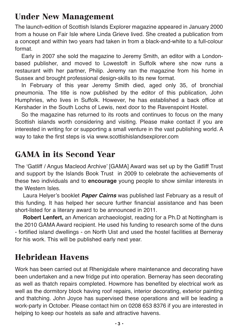#### **Under New Management**

The launch-edition of Scottish Islands Explorer magazine appeared in January 2000 from a house on Fair Isle where Linda Grieve lived. She created a publication from a concept and within two years had taken in from a black-and-white to a full-colour format.

Early in 2007 she sold the magazine to Jeremy Smith, an editor with a Londonbased publisher, and moved to Lowestoft in Suffolk where she now runs a restaurant with her partner, Philip. Jeremy ran the magazine from his home in Sussex and brought professional design-skills to its new format.

In February of this year Jeremy Smith died, aged only 35, of bronchial pneumonia. The title is now published by the editor of this publication, John Humphries, who lives in Suffolk. However, he has established a back office at Kershader in the South Lochs of Lewis, next door to the Ravenspoint Hostel.

So the magazine has returned to its roots and continues to focus on the many Scottish islands worth considering and visiting. Please make contact if you are interested in writing for or supporting a small venture in the vast publishing world. A way to take the first steps is via www.scottishislandsexplorer.com

### **GAMA in its Second Year**

The 'Gatliff / Angus Macleod Archive' [GAMA] Award was set up by the Gatliff Trust and support by the Islands Book Trust in 2009 to celebrate the achievements of these two individuals and to **encourage** young people to show similar interests in the Western Isles.

Laura Helyer's booklet *Paper Cairns* was published last February as a result of this funding. It has helped her secure further financial assistance and has been short-listed for a literary award to be announced in 2011.

**Robert Lenfert,** an American archaeologist, reading for a Ph.D at Nottingham is the 2010 GAMA Award recipient. He used his funding to research some of the duns - fortified island dwellings - on North Uist and used the hostel facilities at Berneray for his work. This will be published early next year.

# **Hebridean Havens**

Work has been carried out at Rhenigidale where maintenance and decorating have been undertaken and a new fridge put into operation. Berneray has seen decorating as well as thatch repairs completed. Howmore has benefited by electrical work as well as the dormitory block having roof repairs, interior decorating, exterior painting and thatching. John Joyce has supervised these operations and will be leading a work-party in October. Please contact him on 0208 653 8376 if you are interested in helping to keep our hostels as safe and attractive havens.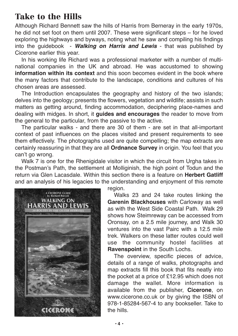#### **Take to the Hills**

Although Richard Bennett saw the hills of Harris from Berneray in the early 1970s, he did not set foot on them until 2007. These were significant steps – for he loved exploring the highways and byways, noting what he saw and compiling his findings into the guidebook - *Walking on Harris and Lewis* - that was published by Cicerone earlier this year.

In his working life Richard was a professional marketer with a number of multinational companies in the UK and abroad. He was accustomed to showing **information within its context** and this soon becomes evident in the book where the many factors that contribute to the landscape, conditions and cultures of his chosen areas are assessed.

The Introduction encapsulates the geography and history of the two islands; delves into the geology; presents the flowers, vegetation and wildlife; assists in such matters as getting around, finding accommodation, deciphering place-names and dealing with midges. In short, it **guides and encourages** the reader to move from the general to the particular, from the passive to the active.

The particular walks - and there are 30 of them - are set in that all-important context of past influences on the places visited and present requirements to see them effectively. The photographs used are quite compelling; the map extracts are certainly reassuring in that they are all **Ordnance Survey** in origin. You feel that you can't go wrong.

Walk 7 is one for the Rhenigidale visitor in which the circuit from Urgha takes in the Postman's Path, the settlement at Molliginish, the high point of Todun and the return via Glen Lacasdale. Within this section there is a feature on **Herbert Gatliff** and an analysis of his legacies to the understanding and enjoyment of this remote



region.

Walks 23 and 24 take routes linking the **Garenin Blackhouses** with Carloway as well as with the West Side Coastal Path. Walk 29 shows how Steimreway can be accessed from Oronsay, on a 2.5 mile journey, and Walk 30 ventures into the vast Pairc with a 12.5 mile trek. Walkers on these latter routes could well use the community hostel facilities at **Ravenspoint** in the South Lochs.

The overview, specific pieces of advice, details of a range of walks, photographs and map extracts fill this book that fits neatly into the pocket at a price of £12.95 which does not damage the wallet. More information is available from the publisher, **Cicerone**, on www.cicerone.co.uk or by giving the ISBN of 978-1-85284-567-4 to any bookseller. Take to the hills.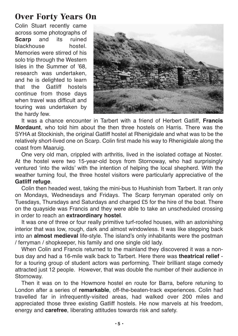#### **Over Forty Years On**

Colin Stuart recently came across some photographs of **Scarp** and its ruined blackhouse hostel. Memories were stirred of his solo trip through the Western Isles in the Summer of '68, research was undertaken, and he is delighted to learn that the Gatliff hostels continue from those days when travel was difficult and touring was undertaken by the hardy few.



It was a chance encounter in Tarbert with a friend of Herbert Gatliff, **Francis Mordaunt**, who told him about the then three hostels on Harris. There was the SYHA at Stockinish, the original Gatliff hostel at Rhenigidale and what was to be the relatively short-lived one on Scarp. Colin first made his way to Rhenigidale along the coast from Maaruig.

One very old man, crippled with arthritis, lived in the isolated cottage at Noster. At the hostel were two 15-year-old boys from Stornoway, who had surprisingly ventured 'into the wilds' with the intention of helping the local shepherd. With the weather turning foul, the three hostel visitors were particularly appreciative of the **Gatliff refuge**.

Colin then headed west, taking the mini-bus to Hushinish from Tarbert. It ran only on Mondays, Wednesdays and Fridays. The Scarp ferryman operated only on Tuesdays, Thursdays and Saturdays and charged £5 for the hire of the boat. There on the quayside was Francis and they were able to take an unscheduled crossing in order to reach an **extraordinary hostel**.

It was one of three or four really primitive turf-roofed houses, with an astonishing interior that was low, rough, dark and almost windowless. It was like stepping back into an **almost medieval** life-style. The island's only inhabitants were the postman / ferryman / shopkeeper, his family and one single old lady.

When Colin and Francis returned to the mainland they discovered it was a nonbus day and had a 16-mile walk back to Tarbert. Here there was **theatrical relief** for a touring group of student actors was performing. Their brilliant stage comedy attracted just 12 people. However, that was double the number of their audience in Stornoway.

Then it was on to the Howmore hostel en route for Barra, before retuning to London after a series of **remarkable**, off-the-beaten-track experiences. Colin had travelled far in infrequently-visited areas, had walked over 200 miles and appreciated those three existing Gatliff hostels. He now marvels at his freedom, energy and **carefree**, liberating attitudes towards risk and safety.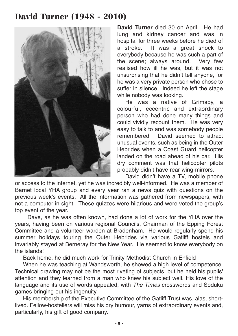#### **David Turner (1948 - 2010)**



**David Turner** died 30 on April. He had lung and kidney cancer and was in hospital for three weeks before he died of a stroke. It was a great shock to everybody because he was such a part of the scene; always around. Very few realised how ill he was, but it was not unsurprising that he didn't tell anyone, for he was a very private person who chose to suffer in silence. Indeed he left the stage while nobody was looking.

He was a native of Grimsby, a colourful, eccentric and extraordinary person who had done many things and could vividly recount them. He was very easy to talk to and was somebody people remembered. David seemed to attract unusual events, such as being in the Outer Hebrides when a Coast Guard helicopter landed on the road ahead of his car. His dry comment was that helicopter pilots probably didn't have rear wing-mirrors.

David didn't have a TV, mobile phone or access to the internet, yet he was incredibly well-informed. He was a member of Barnet local YHA group and every year ran a news quiz with questions on the previous week's events. All the information was gathered from newspapers, with not a computer in sight. These quizzes were hilarious and were voted the group's top event of the year.

Dave, as he was often known, had done a lot of work for the YHA over the years, having been on various regional Councils, Chairman of the Epping Forest Committee and a volunteer warden at Bradenham. He would regularly spend his summer holidays touring the Outer Hebrides via various Gatliff hostels and invariably stayed at Berneray for the New Year. He seemed to know everybody on the islands!

Back home, he did much work for Trinity Methodist Church in Enfield

When he was teaching at Wandsworth, he showed a high level of competence. Technical drawing may not be the most riveting of subjects, but he held his pupils' attention and they learned from a man who knew his subject well. His love of the language and its use of words appealed, with *The Times* crosswords and Soduku games bringing out his ingenuity.

His membership of the Executive Committee of the Gatliff Trust was, alas, shortlived. Fellow-hostellers will miss his dry humour, yarns of extraordinary events and, particularly, his gift of good company.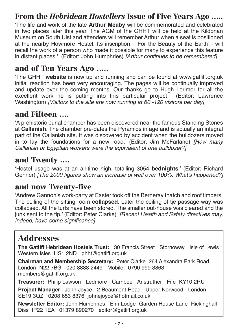#### **From the** *Hebridean Hostellers* **Issue of Five Years Ago …..**

'The life and work of the late **Arthur Meaby** will be commemorated and celebrated in two places later this year. The AGM of the GHHT will be held at the Kildonan Museum on South Uist and attenders will remember Arthur when a seat is positioned at the nearby Howmore Hostel. Its inscription - 'For the Beauty of the Earth' - will recall the work of a person who made it possible for many to experience this feature in distant places.' (Editor: John Humphries) *[Arthur continues to be remembered]*

#### **and of Ten Years Ago …..**

'The GHHT **website** is now up and running and can be found at www.gatliff.org.uk initial reaction has been very encouraging. The pages will be continually improved and update over the coming months. Our thanks go to Hugh Lorimer for all the excellent work he is putting into this particular project' (Editor: Lawrence Washington) *[Visitors to the site are now running at 60 -120 visitors per day]*

#### **and Fifteen ….**

'A prehistoric burial chamber has been discovered near the famous Standing Stones at **Callanish**. The chamber pre-dates the Pyramids in age and is actually an integral part of the Callanish site. It was discovered by accident when the bulldozers moved in to lay the foundations for a new road.' (Editor: Jim McFarlane) *[How many Callanish or Egyptian workers were the equivalent of one bulldozer?]*

#### **and Twenty ….**

'Hostel usage was at an all-time high, totalling 3054 **bednights**.' (Editor: Richard Genner) *[The 2009 figures show an increase of well over 100%. What's happened?]*

#### **and now Twenty-five**

'Andrew Gannon's work-party at Easter took off the Berneray thatch and roof timbers. The ceiling of the sitting room **collapsed**. Later the ceiling of tje passage-way was collapsed. All the turfs have been stored. The smaller out-house was cleared and the junk sent to the tip.' (Editor: Peter Clarke) *[Recent Health and Safety directives may, indeed, have some significance]*

#### **Addresses**

**The Gatliff Hebridean Hostels Trust:** 30 Francis Street Stornoway Isle of Lewis Western Isles HS1 2ND ahht@gatliff.org.uk

**Chairman and Membership Secretary:** Peter Clarke 264 Alexandra Park Road London N22 7BG 020 8888 2449 Mobile: 0790 999 3863 members@gatliff.org.uk

**Treasurer:** Philip Lawson Ledmore Carnbee Anstruther Fife KY10 2RU

**Project Manager**: John Joyce 2 Beaumont Road Upper Norwood London SE19 3QZ 0208 653 8376 johnejoyce@hotmail.co.uk

**Newsletter Editor:** John Humphries Elm Lodge Garden House Lane Rickinghall Diss IP22 1EA 01379 890270 editor@gatliff.org.uk